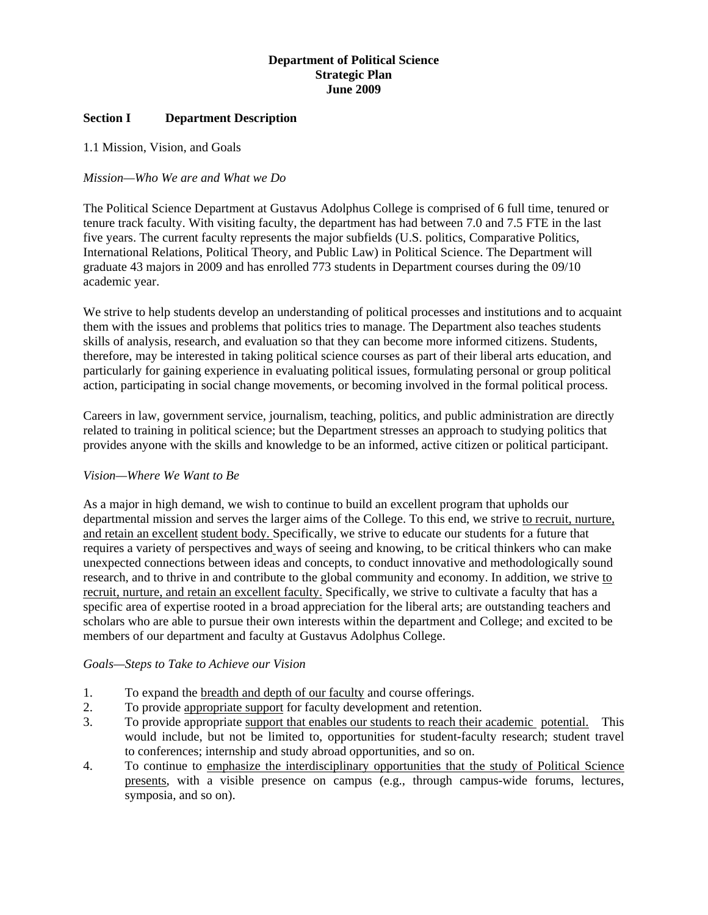## **Department of Political Science Strategic Plan June 2009**

#### **Section I Department Description**

1.1 Mission, Vision, and Goals

#### *Mission—Who We are and What we Do*

The Political Science Department at Gustavus Adolphus College is comprised of 6 full time, tenured or tenure track faculty. With visiting faculty, the department has had between 7.0 and 7.5 FTE in the last five years. The current faculty represents the major subfields (U.S. politics, Comparative Politics, International Relations, Political Theory, and Public Law) in Political Science. The Department will graduate 43 majors in 2009 and has enrolled 773 students in Department courses during the 09/10 academic year.

We strive to help students develop an understanding of political processes and institutions and to acquaint them with the issues and problems that politics tries to manage. The Department also teaches students skills of analysis, research, and evaluation so that they can become more informed citizens. Students, therefore, may be interested in taking political science courses as part of their liberal arts education, and particularly for gaining experience in evaluating political issues, formulating personal or group political action, participating in social change movements, or becoming involved in the formal political process.

Careers in law, government service, journalism, teaching, politics, and public administration are directly related to training in political science; but the Department stresses an approach to studying politics that provides anyone with the skills and knowledge to be an informed, active citizen or political participant.

## *Vision—Where We Want to Be*

As a major in high demand, we wish to continue to build an excellent program that upholds our departmental mission and serves the larger aims of the College. To this end, we strive to recruit, nurture, and retain an excellent student body. Specifically, we strive to educate our students for a future that requires a variety of perspectives and ways of seeing and knowing, to be critical thinkers who can make unexpected connections between ideas and concepts, to conduct innovative and methodologically sound research, and to thrive in and contribute to the global community and economy. In addition, we strive to recruit, nurture, and retain an excellent faculty. Specifically, we strive to cultivate a faculty that has a specific area of expertise rooted in a broad appreciation for the liberal arts; are outstanding teachers and scholars who are able to pursue their own interests within the department and College; and excited to be members of our department and faculty at Gustavus Adolphus College.

#### *Goals—Steps to Take to Achieve our Vision*

- 1. To expand the breadth and depth of our faculty and course offerings.
- 2. To provide appropriate support for faculty development and retention.
- 3. To provide appropriate support that enables our students to reach their academic potential. This would include, but not be limited to, opportunities for student-faculty research; student travel to conferences; internship and study abroad opportunities, and so on.
- 4. To continue to emphasize the interdisciplinary opportunities that the study of Political Science presents, with a visible presence on campus (e.g., through campus-wide forums, lectures, symposia, and so on).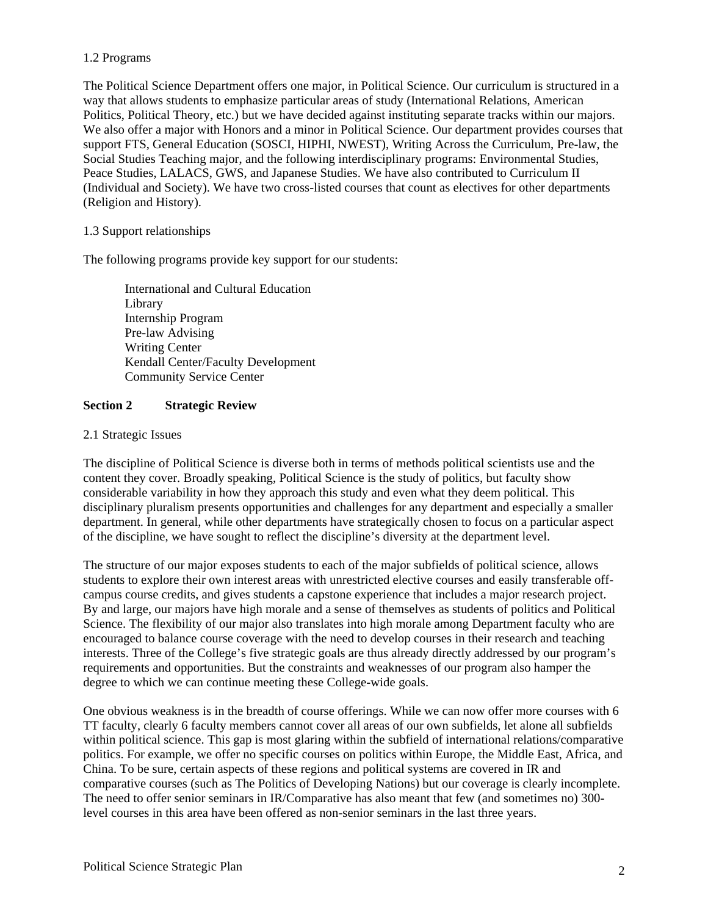# 1.2 Programs

The Political Science Department offers one major, in Political Science. Our curriculum is structured in a way that allows students to emphasize particular areas of study (International Relations, American Politics, Political Theory, etc.) but we have decided against instituting separate tracks within our majors. We also offer a major with Honors and a minor in Political Science. Our department provides courses that support FTS, General Education (SOSCI, HIPHI, NWEST), Writing Across the Curriculum, Pre-law, the Social Studies Teaching major, and the following interdisciplinary programs: Environmental Studies, Peace Studies, LALACS, GWS, and Japanese Studies. We have also contributed to Curriculum II (Individual and Society). We have two cross-listed courses that count as electives for other departments (Religion and History).

## 1.3 Support relationships

The following programs provide key support for our students:

 International and Cultural Education Library Internship Program Pre-law Advising Writing Center Kendall Center/Faculty Development Community Service Center

## **Section 2 Strategic Review**

#### 2.1 Strategic Issues

The discipline of Political Science is diverse both in terms of methods political scientists use and the content they cover. Broadly speaking, Political Science is the study of politics, but faculty show considerable variability in how they approach this study and even what they deem political. This disciplinary pluralism presents opportunities and challenges for any department and especially a smaller department. In general, while other departments have strategically chosen to focus on a particular aspect of the discipline, we have sought to reflect the discipline's diversity at the department level.

The structure of our major exposes students to each of the major subfields of political science, allows students to explore their own interest areas with unrestricted elective courses and easily transferable offcampus course credits, and gives students a capstone experience that includes a major research project. By and large, our majors have high morale and a sense of themselves as students of politics and Political Science. The flexibility of our major also translates into high morale among Department faculty who are encouraged to balance course coverage with the need to develop courses in their research and teaching interests. Three of the College's five strategic goals are thus already directly addressed by our program's requirements and opportunities. But the constraints and weaknesses of our program also hamper the degree to which we can continue meeting these College-wide goals.

One obvious weakness is in the breadth of course offerings. While we can now offer more courses with 6 TT faculty, clearly 6 faculty members cannot cover all areas of our own subfields, let alone all subfields within political science. This gap is most glaring within the subfield of international relations/comparative politics. For example, we offer no specific courses on politics within Europe, the Middle East, Africa, and China. To be sure, certain aspects of these regions and political systems are covered in IR and comparative courses (such as The Politics of Developing Nations) but our coverage is clearly incomplete. The need to offer senior seminars in IR/Comparative has also meant that few (and sometimes no) 300 level courses in this area have been offered as non-senior seminars in the last three years.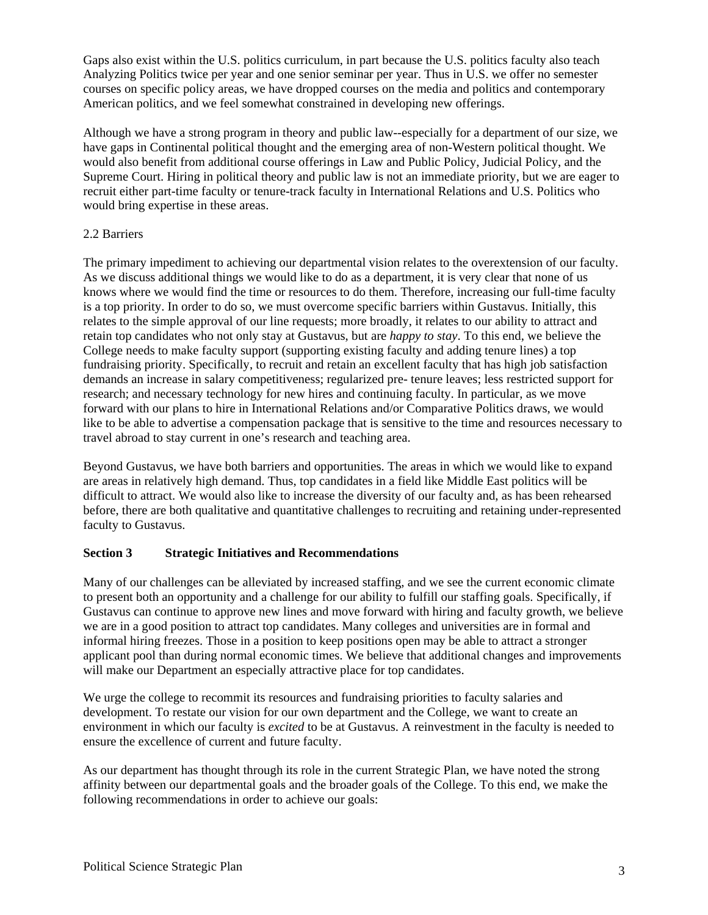Gaps also exist within the U.S. politics curriculum, in part because the U.S. politics faculty also teach Analyzing Politics twice per year and one senior seminar per year. Thus in U.S. we offer no semester courses on specific policy areas, we have dropped courses on the media and politics and contemporary American politics, and we feel somewhat constrained in developing new offerings.

Although we have a strong program in theory and public law--especially for a department of our size, we have gaps in Continental political thought and the emerging area of non-Western political thought. We would also benefit from additional course offerings in Law and Public Policy, Judicial Policy, and the Supreme Court. Hiring in political theory and public law is not an immediate priority, but we are eager to recruit either part-time faculty or tenure-track faculty in International Relations and U.S. Politics who would bring expertise in these areas.

## 2.2 Barriers

The primary impediment to achieving our departmental vision relates to the overextension of our faculty. As we discuss additional things we would like to do as a department, it is very clear that none of us knows where we would find the time or resources to do them. Therefore, increasing our full-time faculty is a top priority. In order to do so, we must overcome specific barriers within Gustavus. Initially, this relates to the simple approval of our line requests; more broadly, it relates to our ability to attract and retain top candidates who not only stay at Gustavus, but are *happy to stay*. To this end, we believe the College needs to make faculty support (supporting existing faculty and adding tenure lines) a top fundraising priority. Specifically, to recruit and retain an excellent faculty that has high job satisfaction demands an increase in salary competitiveness; regularized pre- tenure leaves; less restricted support for research; and necessary technology for new hires and continuing faculty. In particular, as we move forward with our plans to hire in International Relations and/or Comparative Politics draws, we would like to be able to advertise a compensation package that is sensitive to the time and resources necessary to travel abroad to stay current in one's research and teaching area.

Beyond Gustavus, we have both barriers and opportunities. The areas in which we would like to expand are areas in relatively high demand. Thus, top candidates in a field like Middle East politics will be difficult to attract. We would also like to increase the diversity of our faculty and, as has been rehearsed before, there are both qualitative and quantitative challenges to recruiting and retaining under-represented faculty to Gustavus.

# **Section 3 Strategic Initiatives and Recommendations**

Many of our challenges can be alleviated by increased staffing, and we see the current economic climate to present both an opportunity and a challenge for our ability to fulfill our staffing goals. Specifically, if Gustavus can continue to approve new lines and move forward with hiring and faculty growth, we believe we are in a good position to attract top candidates. Many colleges and universities are in formal and informal hiring freezes. Those in a position to keep positions open may be able to attract a stronger applicant pool than during normal economic times. We believe that additional changes and improvements will make our Department an especially attractive place for top candidates.

We urge the college to recommit its resources and fundraising priorities to faculty salaries and development. To restate our vision for our own department and the College, we want to create an environment in which our faculty is *excited* to be at Gustavus. A reinvestment in the faculty is needed to ensure the excellence of current and future faculty.

As our department has thought through its role in the current Strategic Plan, we have noted the strong affinity between our departmental goals and the broader goals of the College. To this end, we make the following recommendations in order to achieve our goals: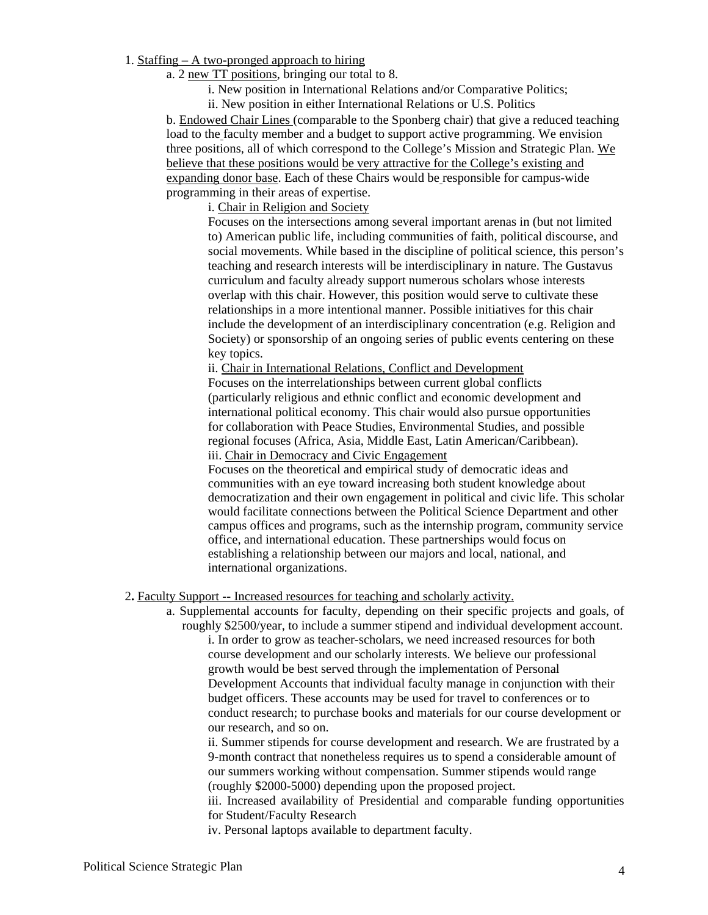- 1. Staffing A two-pronged approach to hiring
	- a. 2 new TT positions, bringing our total to 8.
		- i. New position in International Relations and/or Comparative Politics;
		- ii. New position in either International Relations or U.S. Politics

 b. Endowed Chair Lines (comparable to the Sponberg chair) that give a reduced teaching load to the faculty member and a budget to support active programming. We envision three positions, all of which correspond to the College's Mission and Strategic Plan. We believe that these positions would be very attractive for the College's existing and expanding donor base. Each of these Chairs would be responsible for campus-wide programming in their areas of expertise.

i. Chair in Religion and Society

 Focuses on the intersections among several important arenas in (but not limited to) American public life, including communities of faith, political discourse, and social movements. While based in the discipline of political science, this person's teaching and research interests will be interdisciplinary in nature. The Gustavus curriculum and faculty already support numerous scholars whose interests overlap with this chair. However, this position would serve to cultivate these relationships in a more intentional manner. Possible initiatives for this chair include the development of an interdisciplinary concentration (e.g. Religion and Society) or sponsorship of an ongoing series of public events centering on these key topics.

ii. Chair in International Relations, Conflict and Development

 Focuses on the interrelationships between current global conflicts (particularly religious and ethnic conflict and economic development and international political economy. This chair would also pursue opportunities for collaboration with Peace Studies, Environmental Studies, and possible regional focuses (Africa, Asia, Middle East, Latin American/Caribbean). iii. Chair in Democracy and Civic Engagement

Focuses on the theoretical and empirical study of democratic ideas and communities with an eye toward increasing both student knowledge about democratization and their own engagement in political and civic life. This scholar would facilitate connections between the Political Science Department and other campus offices and programs, such as the internship program, community service office, and international education. These partnerships would focus on establishing a relationship between our majors and local, national, and international organizations.

#### 2**.** Faculty Support -- Increased resources for teaching and scholarly activity.

 a. Supplemental accounts for faculty, depending on their specific projects and goals, of roughly \$2500/year, to include a summer stipend and individual development account. i. In order to grow as teacher-scholars, we need increased resources for both course development and our scholarly interests. We believe our professional growth would be best served through the implementation of Personal Development Accounts that individual faculty manage in conjunction with their budget officers. These accounts may be used for travel to conferences or to conduct research; to purchase books and materials for our course development or our research, and so on.

ii. Summer stipends for course development and research. We are frustrated by a 9-month contract that nonetheless requires us to spend a considerable amount of our summers working without compensation. Summer stipends would range (roughly \$2000-5000) depending upon the proposed project.

iii. Increased availability of Presidential and comparable funding opportunities for Student/Faculty Research

iv. Personal laptops available to department faculty.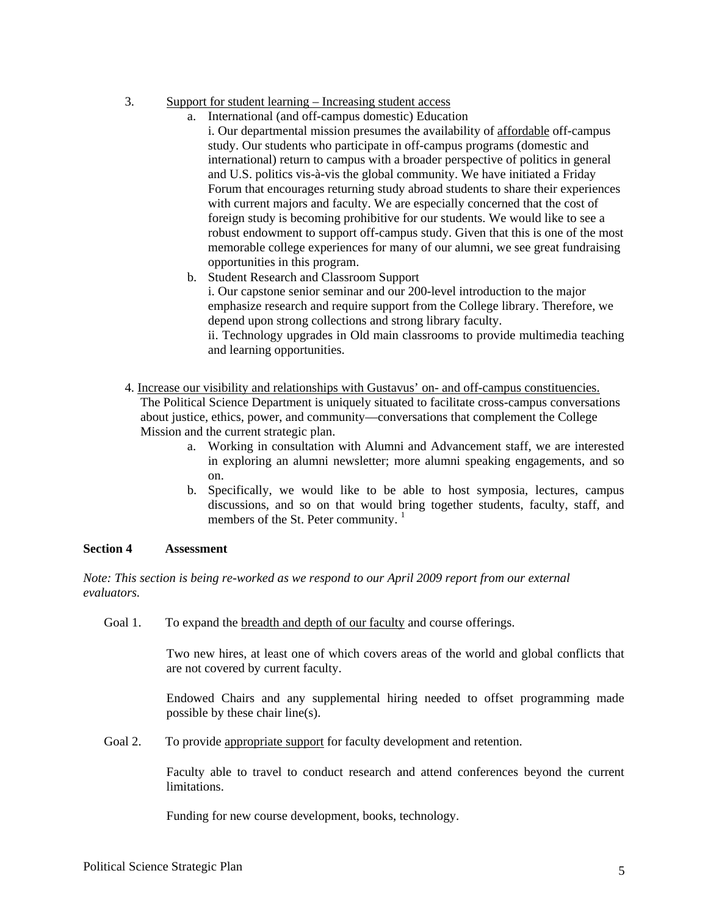## 3. Support for student learning – Increasing student access

- a. International (and off-campus domestic) Education
	- i. Our departmental mission presumes the availability of affordable off-campus study. Our students who participate in off-campus programs (domestic and international) return to campus with a broader perspective of politics in general and U.S. politics vis-à-vis the global community. We have initiated a Friday Forum that encourages returning study abroad students to share their experiences with current majors and faculty. We are especially concerned that the cost of foreign study is becoming prohibitive for our students. We would like to see a robust endowment to support off-campus study. Given that this is one of the most memorable college experiences for many of our alumni, we see great fundraising opportunities in this program.
- b. Student Research and Classroom Support

 i. Our capstone senior seminar and our 200-level introduction to the major emphasize research and require support from the College library. Therefore, we depend upon strong collections and strong library faculty.

 ii. Technology upgrades in Old main classrooms to provide multimedia teaching and learning opportunities.

 4. Increase our visibility and relationships with Gustavus' on- and off-campus constituencies. The Political Science Department is uniquely situated to facilitate cross-campus conversations about justice, ethics, power, and community—conversations that complement the College Mission and the current strategic plan.

- a. Working in consultation with Alumni and Advancement staff, we are interested in exploring an alumni newsletter; more alumni speaking engagements, and so on.
- b. Specifically, we would like to be able to host symposia, lectures, campus discussions, and so on that would bring together students, faculty, staff, and members of the St. Peter community.  $1$

## **Section 4 Assessment**

*Note: This section is being re-worked as we respond to our April 2009 report from our external evaluators.* 

Goal 1. To expand the breadth and depth of our faculty and course offerings.

 Two new hires, at least one of which covers areas of the world and global conflicts that are not covered by current faculty.

 Endowed Chairs and any supplemental hiring needed to offset programming made possible by these chair line(s).

Goal 2. To provide appropriate support for faculty development and retention.

 Faculty able to travel to conduct research and attend conferences beyond the current limitations.

Funding for new course development, books, technology.